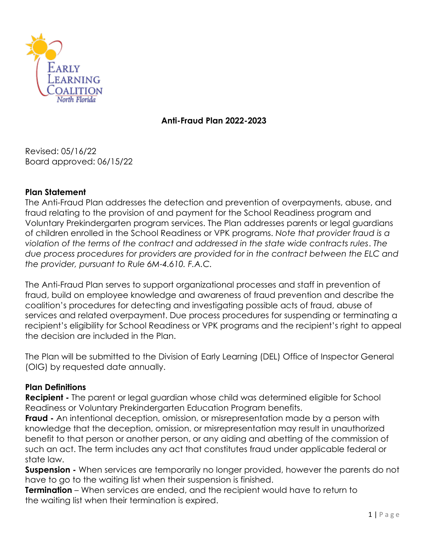

#### **Anti-Fraud Plan 2022-2023**

Revised: 05/16/22 Board approved: 06/15/22

#### **Plan Statement**

The Anti-Fraud Plan addresses the detection and prevention of overpayments, abuse, and fraud relating to the provision of and payment for the School Readiness program and Voluntary Prekindergarten program services. The Plan addresses parents or legal guardians of children enrolled in the School Readiness or VPK programs. *Note that provider fraud is a violation of the terms of the contract and addressed in the state wide contracts rules*. *The due process procedures for providers are provided for in the contract between the ELC and the provider, pursuant to Rule 6M-4.610. F.A.C.*

The Anti-Fraud Plan serves to support organizational processes and staff in prevention of fraud, build on employee knowledge and awareness of fraud prevention and describe the coalition's procedures for detecting and investigating possible acts of fraud, abuse of services and related overpayment. Due process procedures for suspending or terminating a recipient's eligibility for School Readiness or VPK programs and the recipient's right to appeal the decision are included in the Plan.

The Plan will be submitted to the Division of Early Learning (DEL) Office of Inspector General (OIG) by requested date annually.

#### **Plan Definitions**

**Recipient -** The parent or legal guardian whose child was determined eligible for School Readiness or Voluntary Prekindergarten Education Program benefits.

**Fraud -** An intentional deception, omission, or misrepresentation made by a person with knowledge that the deception, omission, or misrepresentation may result in unauthorized benefit to that person or another person, or any aiding and abetting of the commission of such an act. The term includes any act that constitutes fraud under applicable federal or state law.

**Suspension -** When services are temporarily no longer provided, however the parents do not have to go to the waiting list when their suspension is finished.

**Termination** – When services are ended, and the recipient would have to return to the waiting list when their termination is expired.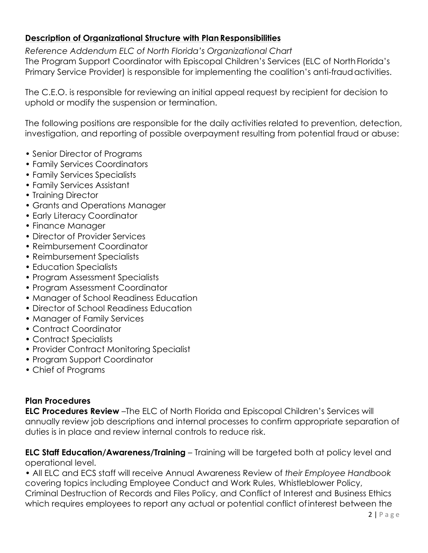## **Description of Organizational Structure with Plan Responsibilities**

*Reference Addendum ELC of North Florida's Organizational Chart* The Program Support Coordinator with Episcopal Children's Services (ELC of NorthFlorida's Primary Service Provider) is responsible for implementing the coalition's anti-fraudactivities.

The C.E.O. is responsible for reviewing an initial appeal request by recipient for decision to uphold or modify the suspension or termination.

The following positions are responsible for the daily activities related to prevention, detection, investigation, and reporting of possible overpayment resulting from potential fraud or abuse:

- Senior Director of Programs
- Family Services Coordinators
- Family Services Specialists
- Family Services Assistant
- Training Director
- Grants and Operations Manager
- Early Literacy Coordinator
- Finance Manager
- Director of Provider Services
- Reimbursement Coordinator
- Reimbursement Specialists
- Education Specialists
- Program Assessment Specialists
- Program Assessment Coordinator
- Manager of School Readiness Education
- Director of School Readiness Education
- Manager of Family Services
- Contract Coordinator
- Contract Specialists
- Provider Contract Monitoring Specialist
- Program Support Coordinator
- Chief of Programs

## **Plan Procedures**

**ELC Procedures Review** –The ELC of North Florida and Episcopal Children's Services will annually review job descriptions and internal processes to confirm appropriate separation of duties is in place and review internal controls to reduce risk.

**ELC Staff Education/Awareness/Training** – Training will be targeted both at policy level and operational level.

• All ELC and ECS staff will receive Annual Awareness Review of *their Employee Handbook*  covering topics including Employee Conduct and Work Rules, Whistleblower Policy, Criminal Destruction of Records and Files Policy, and Conflict of Interest and Business Ethics which requires employees to report any actual or potential conflict ofinterest between the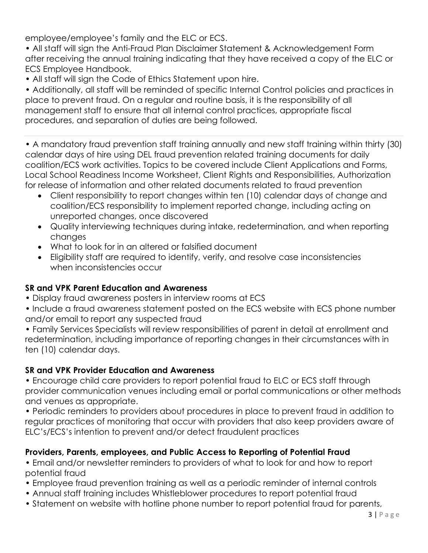employee/employee's family and the ELC or ECS.

• All staff will sign the Anti-Fraud Plan Disclaimer Statement & Acknowledgement Form after receiving the annual training indicating that they have received a copy of the ELC or ECS Employee Handbook.

• All staff will sign the Code of Ethics Statement upon hire.

• Additionally, all staff will be reminded of specific Internal Control policies and practices in place to prevent fraud. On a regular and routine basis, it is the responsibility of all management staff to ensure that all internal control practices, appropriate fiscal procedures, and separation of duties are being followed.

• A mandatory fraud prevention staff training annually and new staff training within thirty (30) calendar days of hire using DEL fraud prevention related training documents for daily coalition/ECS work activities. Topics to be covered include Client Applications and Forms, Local School Readiness Income Worksheet, Client Rights and Responsibilities, Authorization for release of information and other related documents related to fraud prevention

- Client responsibility to report changes within ten (10) calendar days of change and coalition/ECS responsibility to implement reported change, including acting on unreported changes, once discovered
- Quality interviewing techniques during intake, redetermination, and when reporting changes
- What to look for in an altered or falsified document
- Eligibility staff are required to identify, verify, and resolve case inconsistencies when inconsistencies occur

# **SR and VPK Parent Education and Awareness**

• Display fraud awareness posters in interview rooms at ECS

• Include a fraud awareness statement posted on the ECS website with ECS phone number and/or email to report any suspected fraud

• Family Services Specialists will review responsibilities of parent in detail at enrollment and redetermination, including importance of reporting changes in their circumstances with in ten (10) calendar days.

# **SR and VPK Provider Education and Awareness**

• Encourage child care providers to report potential fraud to ELC or ECS staff through provider communication venues including email or portal communications or other methods and venues as appropriate.

• Periodic reminders to providers about procedures in place to prevent fraud in addition to regular practices of monitoring that occur with providers that also keep providers aware of ELC's/ECS's intention to prevent and/or detect fraudulent practices

# **Providers, Parents, employees, and Public Access to Reporting of Potential Fraud**

• Email and/or newsletter reminders to providers of what to look for and how to report potential fraud

- Employee fraud prevention training as well as a periodic reminder of internal controls
- Annual staff training includes Whistleblower procedures to report potential fraud
- Statement on website with hotline phone number to report potential fraud for parents,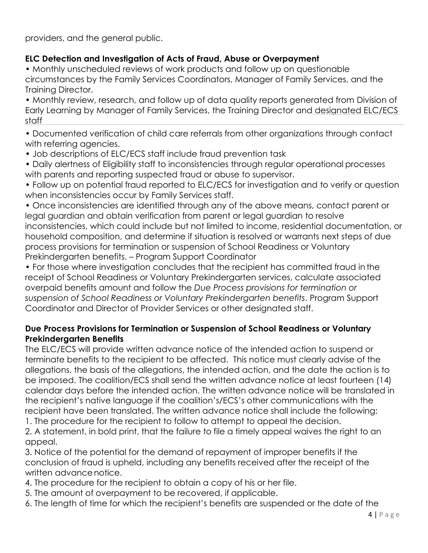providers, and the general public.

## **ELC Detection and Investigation of Acts of Fraud, Abuse or Overpayment**

• Monthly unscheduled reviews of work products and follow up on questionable circumstances by the Family Services Coordinators, Manager of Family Services, and the Training Director.

• Monthly review, research, and follow up of data quality reports generated from Division of Early Learning by Manager of Family Services, the Training Director and designated ELC/ECS staff

• Documented verification of child care referrals from other organizations through contact with referring agencies.

- Job descriptions of ELC/ECS staff include fraud prevention task
- Daily alertness of Eligibility staff to inconsistencies through regular operational processes with parents and reporting suspected fraud or abuse to supervisor.
- Follow up on potential fraud reported to ELC/ECS for investigation and to verify or question when inconsistencies occur by Family Services staff.

• Once inconsistencies are identified through any of the above means, contact parent or legal guardian and obtain verification from parent or legal guardian to resolve inconsistencies, which could include but not limited to income, residential documentation, or household composition, and determine if situation is resolved or warrants next steps of due process provisions for termination or suspension of School Readiness or Voluntary Prekindergarten benefits. – Program Support Coordinator

• For those where investigation concludes that the recipient has committed fraud in the receipt of School Readiness or Voluntary Prekindergarten services, calculate associated overpaid benefits amount and follow the *Due Process provisions for termination or suspension of School Readiness or Voluntary Prekindergarten benefits*. Program Support Coordinator and Director of Provider Services or other designated staff.

#### **Due Process Provisions for Termination or Suspension of School Readiness or Voluntary Prekindergarten Benefits**

The ELC/ECS will provide written advance notice of the intended action to suspend or terminate benefits to the recipient to be affected. This notice must clearly advise of the allegations, the basis of the allegations, the intended action, and the date the action is to be imposed. The coalition/ECS shall send the written advance notice at least fourteen (14) calendar days before the intended action. The written advance notice will be translated in the recipient's native language if the coalition's/ECS's other communications with the recipient have been translated. The written advance notice shall include the following:

1. The procedure for the recipient to follow to attempt to appeal the decision.

2. A statement, in bold print, that the failure to file a timely appeal waives the right to an appeal.

3. Notice of the potential for the demand of repayment of improper benefits if the conclusion of fraud is upheld, including any benefits received after the receipt of the written advance notice.

- 4. The procedure for the recipient to obtain a copy of his or her file.
- 5. The amount of overpayment to be recovered, if applicable.
- 6. The length of time for which the recipient's benefits are suspended or the date of the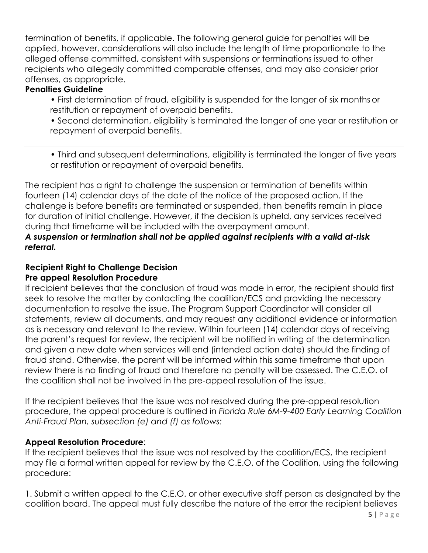termination of benefits, if applicable. The following general guide for penalties will be applied, however, considerations will also include the length of time proportionate to the alleged offense committed, consistent with suspensions or terminations issued to other recipients who allegedly committed comparable offenses, and may also consider prior offenses, as appropriate.

#### **Penalties Guideline**

• First determination of fraud, eligibility is suspended for the longer of six months or restitution or repayment of overpaid benefits.

• Second determination, eligibility is terminated the longer of one year or restitution or repayment of overpaid benefits.

• Third and subsequent determinations, eligibility is terminated the longer of five years or restitution or repayment of overpaid benefits.

The recipient has a right to challenge the suspension or termination of benefits within fourteen (14) calendar days of the date of the notice of the proposed action. If the challenge is before benefits are terminated or suspended, then benefits remain in place for duration of initial challenge. However, if the decision is upheld, any services received during that timeframe will be included with the overpayment amount.

#### *A suspension or termination shall not be applied against recipients with a valid at-risk referral.*

#### **Recipient Right to Challenge Decision Pre appeal Resolution Procedure**

If recipient believes that the conclusion of fraud was made in error, the recipient should first seek to resolve the matter by contacting the coalition/ECS and providing the necessary documentation to resolve the issue. The Program Support Coordinator will consider all statements, review all documents, and may request any additional evidence or information as is necessary and relevant to the review. Within fourteen (14) calendar days of receiving the parent's request for review, the recipient will be notified in writing of the determination and given a new date when services will end (intended action date) should the finding of fraud stand. Otherwise, the parent will be informed within this same timeframe that upon review there is no finding of fraud and therefore no penalty will be assessed. The C.E.O. of the coalition shall not be involved in the pre-appeal resolution of the issue.

If the recipient believes that the issue was not resolved during the pre-appeal resolution procedure, the appeal procedure is outlined in *Florida Rule 6M-9-400 Early Learning Coalition Anti-Fraud Plan, subsection (e) and (f) as follows:*

#### **Appeal Resolution Procedure**:

If the recipient believes that the issue was not resolved by the coalition/ECS, the recipient may file a formal written appeal for review by the C.E.O. of the Coalition, using the following procedure:

1. Submit a written appeal to the C.E.O. or other executive staff person as designated by the coalition board. The appeal must fully describe the nature of the error the recipient believes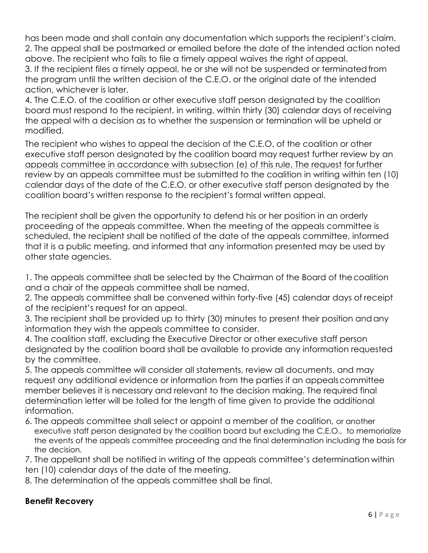has been made and shall contain any documentation which supports the recipient's claim. 2. The appeal shall be postmarked or emailed before the date of the intended action noted above. The recipient who fails to file a timely appeal waives the right of appeal. 3. If the recipient files a timely appeal, he or she will not be suspended or terminatedfrom

the program until the written decision of the C.E.O. or the original date of the intended action, whichever is later.

4. The C.E.O. of the coalition or other executive staff person designated by the coalition board must respond to the recipient, in writing, within thirty (30) calendar days of receiving the appeal with a decision as to whether the suspension or termination will be upheld or modified.

The recipient who wishes to appeal the decision of the C.E.O. of the coalition or other executive staff person designated by the coalition board may request further review by an appeals committee in accordance with subsection (e) of this rule. The request for further review by an appeals committee must be submitted to the coalition in writing within ten (10) calendar days of the date of the C.E.O. or other executive staff person designated by the coalition board's written response to the recipient's formal written appeal.

The recipient shall be given the opportunity to defend his or her position in an orderly proceeding of the appeals committee. When the meeting of the appeals committee is scheduled, the recipient shall be notified of the date of the appeals committee, informed that it is a public meeting, and informed that any information presented may be used by other state agencies.

1. The appeals committee shall be selected by the Chairman of the Board of thecoalition and a chair of the appeals committee shall be named.

2. The appeals committee shall be convened within forty-five (45) calendar days of receipt of the recipient's request for an appeal.

3. The recipient shall be provided up to thirty (30) minutes to present their position andany information they wish the appeals committee to consider.

4. The coalition staff, excluding the Executive Director or other executive staff person designated by the coalition board shall be available to provide any information requested by the committee.

5. The appeals committee will consider all statements, review all documents, and may request any additional evidence or information from the parties if an appealscommittee member believes it is necessary and relevant to the decision making. The required final determination letter will be tolled for the length of time given to provide the additional information.

6. The appeals committee shall select or appoint a member of the coalition, or another executive staff person designated by the coalition board but excluding the C.E.O., to memorialize the events of the appeals committee proceeding and the final determination including the basis for the decision.

7. The appellant shall be notified in writing of the appeals committee's determination within ten (10) calendar days of the date of the meeting.

8. The determination of the appeals committee shall be final.

#### **Benefit Recovery**